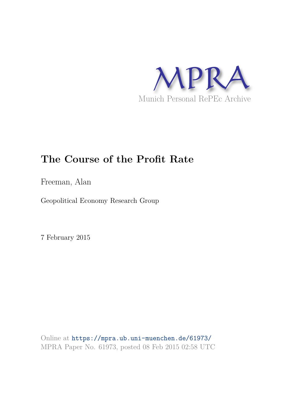

# **The Course of the Profit Rate**

Freeman, Alan

Geopolitical Economy Research Group

7 February 2015

Online at https://mpra.ub.uni-muenchen.de/61973/ MPRA Paper No. 61973, posted 08 Feb 2015 02:58 UTC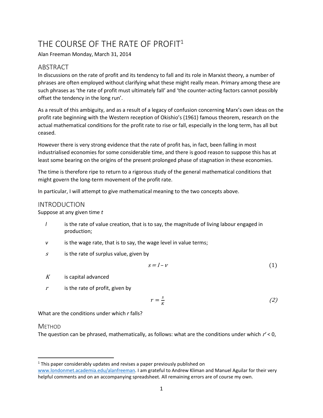## THE COURSE OF THE RATE OF PROFIT<sup>1</sup>

Alan Freeman Monday, March 31, 2014

### ABSTRACT

In discussions on the rate of profit and its tendency to fall and its role in Marxist theory, a number of phrases are often employed without clarifying what these might really mean. Primary among these are such phrases as 'the rate of profit must ultimately fall' and 'the counter-acting factors cannot possibly offset the tendency in the long run'.

As a result of this ambiguity, and as a result of a legacy of confusion concerning Marx's own ideas on the profit rate beginning with the Western reception of Okishio's (1961) famous theorem, research on the actual mathematical conditions for the profit rate to rise or fall, especially in the long term, has all but ceased.

However there is very strong evidence that the rate of profit has, in fact, been falling in most industrialised economies for some considerable time, and there is good reason to suppose this has at least some bearing on the origins of the present prolonged phase of stagnation in these economies.

The time is therefore ripe to return to a rigorous study of the general mathematical conditions that might govern the long-term movement of the profit rate.

In particular, I will attempt to give mathematical meaning to the two concepts above.

#### INTRODUCTION

Suppose at any given time *t* 

- *l* is the rate of value creation, that is to say, the magnitude of living labour engaged in production;
- *v* is the wage rate, that is to say, the wage level in value terms;
- $s$  is the rate of surplus value, given by

$$
s = l - v \tag{1}
$$

- $K$  is capital advanced
- <sup>r</sup>is the rate of profit, given by

$$
r = \frac{s}{K} \tag{2}
$$

What are the conditions under which *r* falls?

#### **METHOD**

The question can be phrased, mathematically, as follows: what are the conditions under which r*'* < 0,

l  $1$  This paper considerably updates and revises a paper previously published on

[www.londonmet.academia.edu/alanfreeman.](http://www.londonmet.academia.edu/alanfreeman) I am grateful to Andrew Kliman and Manuel Aguilar for their very helpful comments and on an accompanying spreadsheet. All remaining errors are of course my own.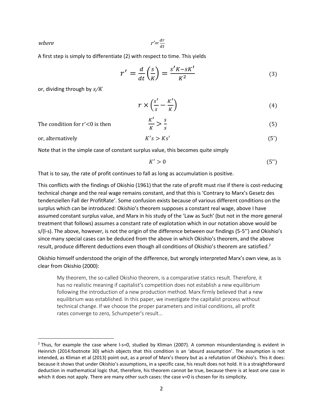where

$$
r' = \frac{dr}{dt}
$$

A first step is simply to differentiate (2) with respect to time. This yields

$$
r' = \frac{d}{dt} \left(\frac{s}{K}\right) = \frac{s'K - sK'}{K^2} \tag{3}
$$

or, dividing through by  $s/K$ 

$$
r \times \left(\frac{s'}{s} - \frac{K'}{K}\right) \tag{4}
$$

The condition for  $r' < 0$  is then

$$
\frac{K'}{K} > \frac{s}{s} \tag{5}
$$

 $s > Ks'$  (5)

or, alternatively

 $\overline{a}$ 

Note that in the simple case of constant surplus value, this becomes quite simply

$$
K' > 0 \tag{5"}
$$

That is to say, the rate of profit continues to fall as long as accumulation is positive.

This conflicts with the findings of Okishio (1961) that the rate of profit must rise if there is cost-reducing technical change and the real wage remains constant, and that this is 'Contrary to Marx's Gesetz des tendenziellen Fall der ProfitRate'. Some confusion exists because of various different conditions on the surplus which can be introduced: Okishio's theorem supposes a constant real wage, above I have assumed constant surplus value, and Marx in his study of the 'Law as Such' (but not in the more general treatment that follows) assumes a constant rate of explotation which in our notation above would be s/(l-s). The above, however, is not the origin of the difference between our findings (5-5'') and Okishio's since many special cases can be deduced from the above in which Okishio's theorem, and the above result, produce different deductions even though all conditions of Okishio's theorem are satisfied.<sup>2</sup>

 $K's > Ks'$ 

Okishio himself understood the origin of the difference, but wrongly interpreted Marx's own view, as is clear from Okishio (2000):

My theorem, the so-called Okishio theorem, is a comparative statics result. Therefore, it has no realistic meaning if capitalist's competition does not establish a new equilibrium following the introduction of a new production method. Marx firmly believed that a new equilibrium was established. In this paper, we investigate the capitalist process without technical change. If we choose the proper parameters and initial conditions, all profit rates converge to zero, Schumpeter's result…

 $2$  Thus, for example the case where I-s=0, studied by Kliman (2007). A common misunderstanding is evident in Heinrich (2014:footnote 30) which objects that this condition is an 'absurd assumption'. The assumption is not intended, as Kliman et al (2013) point out, as a proof of Marx's theory but as a refutation of Okishio's. This it does: because it shows that under Okishio's assumptions, in a specific case, his result does not hold. It is a straightforward deduction in mathematical logic that, therefore, his theorem cannot be true, because there is at least one case in which it does not apply. There are many other such cases: the case v=0 is chosen for its simplicity.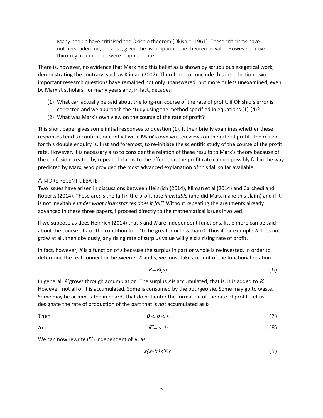Many people have criticised the Okishio theorem (Okishio, 1961). These criticisms have not persuaded me, because, given the assumptions, the theorem is valid. However, I now think my assumptions were inappropriate

There is, however, no evidence that Marx held this belief as is shown by scrupulous exegetical work, demonstrating the contrary, such as Kliman (2007). Therefore, to conclude this introduction, two important research questions have remained not only unanswered, but more or less unexamined, even by Marxist scholars, for many years and, in fact, decades:

- (1) What can actually be said about the long-run course of the rate of profit, if Okishio's error is corrected and we approach the study using the method specified in equations (1)-(4)?
- (2) What was Marx's own view on the course of the rate of profit?

This short paper gives some initial responses to question (1). It then briefly examines whether these responses tend to confirm, or conflict with, Marx's own written views on the rate of profit. The reason for this double enquiry is, first and foremost, to re-initiate the scientific study of the course of the profit rate. However, it is necessary also to consider the relation of these results to Marx's theory because of the confusion created by repeated claims to the effect that the profit rate cannot possibly fall in the way predicted by Marx, who provided the most advanced explanation of this fall so far available.

#### A MORE RECENT DEBATE

Two issues have arisen in discussions between Heinrich (2014), Kliman et al (2014) and Carchedi and Roberts (2014). These are: is the fall in the profit rate *inevitable* (and did Marx make this claim) and if it is not inevitable *under what cirumstances does it fall*? Without repeating the arguments already advanced in these three papers, I proceed directly to the mathematical issues involved.

If we suppose as does Heinrich (2014) that  $s$  and  $K$  are independent functions, little more can be said about the course of r or the condition for  $r'$  to be greater or less than 0. Thus if for example K does not grow at all, then obviously, any rising rate of surplus value will yield a rising rate of profit.

In fact, however, K is a function of s because the surplus in part or whole is re-invested. In order to determine the real connection between r*,* <sup>K</sup> and s, we must take account of the functional relation

$$
K = K(s) \tag{6}
$$

In general, K grows through accumulation. The surplus  $s$  is accumulated, that is, it is added to K. However, not all of it is accumulated. Some is consumed by the bourgeoisie. Some may go to waste. Some may be accumulated in hoards that do not enter the formation of the rate of profit. Let us designate the rate of production of the part that is *not* accumulated as *b.* 

Then 
$$
0 < b < s
$$
 (7)

And 
$$
K'=s-b
$$
 (8)

We can now rewrite (5') independent of  $K$ , as

$$
s(s-b) < Ks' \tag{9}
$$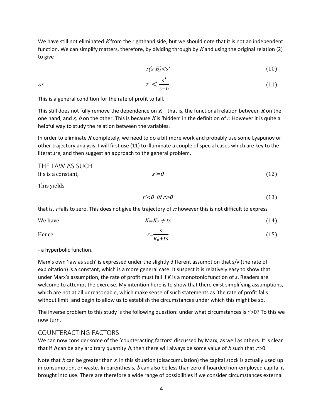We have still not eliminated K from the righthand side, but we should note that it is not an independent function. We can simplify matters, therefore, by dividing through by K and using the original relation (2) to give

$$
r(s-B) < s' \tag{10}
$$

$$
r < \frac{s'}{s - b} \tag{11}
$$

This is a general condition for the rate of profit to fall.

This still does not fully remove the dependence on  $K-$  that is, the functional relation between K on the one hand, and s, b on the other. This is because K is 'hidden' in the definition of r. However it is quite a helpful way to study the relation between the variables.

In order to eliminate K completely, we need to do a bit more work and probably use some Lyapunov or other trajectory analysis. I will first use (11) to illuminate a couple of special cases which are key to the literature, and then suggest an approach to the general problem.

| THE LAW AS SUCH     |        |      |
|---------------------|--------|------|
| If s is a constant, | $s'=0$ | (12) |

This yields

$$
r' < 0 \quad \text{iff } r > 0 \tag{13}
$$

that is, r falls to zero. This does not give the trajectory of  $r<sub>i</sub>$  however this is not difficult to express

We have 
$$
K=K_0 + ts
$$
 (14)

Hence 
$$
r = \frac{s}{K_0 + ts}
$$
 (15)

- a hyperbolic function.

Marx's own 'law as such' is expressed under the slightly different assumption that s/v (the rate of exploitation) is a constant, which is a more general case. It suspect it is relatively easy to show that under Marx's assumption, the rate of profit must fall if *K* is a monotonic function of *s*. Readers are welcome to attempt the exercise. My intention here is to show that there exist simplifying assumptions, which are not at all unreasonable, which make sense of such statements as 'the rate of profit falls without limit' and begin to allow us to establish the circumstances under which this might be so.

The inverse problem to this study is the following question: under what circumstances is r'>0? To this we now turn.

#### COUNTERACTING FACTORS

We can now consider some of the 'counteracting factors' discussed by Marx, as well as others. It is clear that if b can be any arbitrary quantity b, then there will always be some value of b such that  $r > 0$ .

Note that b can be greater than s. In this situation (disaccumulation) the capital stock is actually used up in consumption, or waste. In parenthesis,  $b$  can also be less than zero if hoarded non-employed capital is brought into use. There are therefore a wide range of possibilities if we consider circumstances external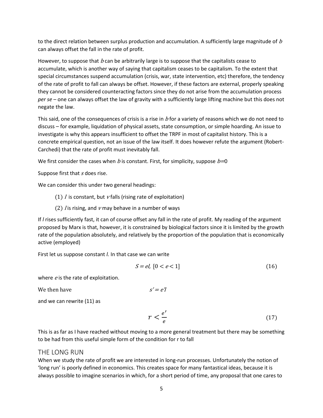to the direct relation between surplus production and accumulation. A sufficiently large magnitude of  $b$ can always offset the fall in the rate of profit.

However, to suppose that  $b$  can be arbitrarily large is to suppose that the capitalists cease to accumulate, which is another way of saying that capitalism ceases to be capitalism. To the extent that special circumstances suspend accumulation (crisis, war, state intervention, etc) therefore, the tendency of the rate of profit to fall can always be offset. However, if these factors are external, properly speaking they cannot be considered counteracting factors since they do not arise from the accumulation process *per se* – one can always offset the law of gravity with a sufficiently large lifting machine but this does not negate the law.

This said, one of the consequences of crisis is a rise in  $b$  for a variety of reasons which we do not need to discuss – for example, liquidation of physical assets, state consumption, or simple hoarding. An issue to investigate is why this appears insufficient to offset the TRPF in most of capitalist history. This is a concrete empirical question, not an issue of the law itself. It does however refute the argument (Robert-Carchedi) that the rate of profit must inevitably fall.

We first consider the cases when b is constant. First, for simplicity, suppose  $b=0$ 

Suppose first that s does rise.

We can consider this under two general headings:

- (1)  $\ell$  is constant, but  $\nu$  falls (rising rate of exploitation)
- (2)  $\ell$  is rising, and  $\nu$  may behave in a number of ways

If *l* rises sufficiently fast, it can of course offset any fall in the rate of profit. My reading of the argument proposed by Marx is that, however, it is constrained by biological factors since it is limited by the growth rate of the population absolutely, and relatively by the proportion of the population that is economically active (employed)

First let us suppose constant *l.* In that case we can write

$$
S = el, [0 < e < 1] \tag{16}
$$

where  $e$  is the rate of exploitation.

We then have  $s' = e'l$ 

and we can rewrite (11) as

$$
r < \frac{e'}{e} \tag{17}
$$

This is as far as I have reached without moving to a more general treatment but there may be something to be had from this useful simple form of the condition for r to fall

#### THE LONG RUN

When we study the rate of profit we are interested in long-run processes. Unfortunately the notion of 'long run' is poorly defined in economics. This creates space for many fantastical ideas, because it is always possible to imagine scenarios in which, for a short period of time, any proposal that one cares to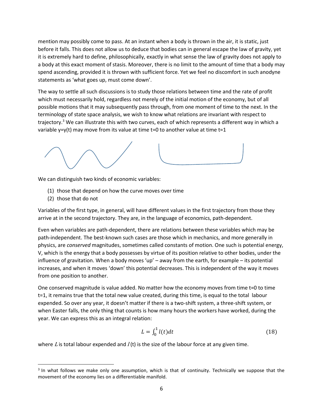mention may possibly come to pass. At an instant when a body is thrown in the air, it is static, just before it falls. This does not allow us to deduce that bodies can in general escape the law of gravity, yet it is extremely hard to define, philosophically, exactly in what sense the law of gravity does not apply to a body at this exact moment of stasis. Moreover, there is no limit to the amount of time that a body may spend ascending, provided it is thrown with sufficient force. Yet we feel no discomfort in such anodyne statements as 'what goes up, must come down'.

The way to settle all such discussions is to study those relations between time and the rate of profit which must necessarily hold, regardless not merely of the initial motion of the economy, but of all possible motions that it may subsequently pass through, from one moment of time to the next. In the terminology of state space analysis, we wish to know what relations are invariant with respect to trajectory.<sup>3</sup> We can illustrate this with two curves, each of which represents a different way in which a variable y=y(t) may move from its value at time t=0 to another value at time t=1

We can distinguish two kinds of economic variables:

- (1) those that depend on how the curve moves over time
- (2) those that do not

 $\overline{\phantom{0}}$ 

Variables of the first type, in general, will have different values in the first trajectory from those they arrive at in the second trajectory. They are, in the language of economics, path-dependent.

Even when variables are path-dependent, there are relations between these variables which may be path-independent. The best-known such cases are those which in mechanics, and more generally in physics, are *conserved* magnitudes, sometimes called constants of motion. One such is potential energy, V, which is the energy that a body possesses by virtue of its position relative to other bodies, under the influence of gravitation. When a body moves 'up' – away from the earth, for example – its potential increases, and when it moves 'down' this potential decreases. This is independent of the way it moves from one position to another.

One conserved magnitude is value added. No matter how the economy moves from time t=0 to time t=1, it remains true that the total new value created, during this time, is equal to the total labour expended. So over any year, it doesn't matter if there is a two-shift system, a three-shift system, or when Easter falls, the only thing that counts is how many hours the workers have worked, during the year. We can express this as an integral relation:

$$
L = \int_0^1 l(t)dt
$$
 (18)

where L is total labour expended and  $I(t)$  is the size of the labour force at any given time.

<sup>&</sup>lt;sup>3</sup> In what follows we make only one assumption, which is that of continuity. Technically we suppose that the movement of the economy lies on a differentiable manifold.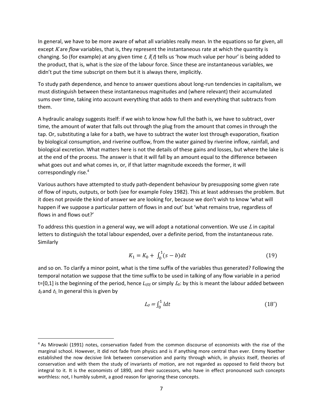In general, we have to be more aware of what all variables really mean. In the equations so far given, all except K are *flow* variables, that is, they represent the instantaneous rate at which the quantity is changing. So (for example) at any given time t,  $\ell$  tells us 'how much value per hour' is being added to the product, that is, what is the size of the labour force. Since these are instantaneous variables, we didn't put the time subscript on them but it is always there, implicitly.

To study path dependence, and hence to answer questions about long-run tendencies in capitalism, we must distinguish between these instantaneous magnitudes and (where relevant) their accumulated sums over time, taking into account everything that adds to them and everything that subtracts from them.

A hydraulic analogy suggests itself: if we wish to know how full the bath is, we have to subtract, over time, the amount of water that falls out through the plug from the amount that comes in through the tap. Or, substituting a lake for a bath, we have to subtract the water lost through evaporation, fixation by biological consumption, and riverine outflow, from the water gained by riverine inflow, rainfall, and biological excretion. What matters here is not the details of these gains and losses, but where the lake is at the end of the process. The answer is that it will fall by an amount equal to the difference between what goes out and what comes in, or, if that latter magnitude exceeds the former, it will correspondingly rise.<sup>4</sup>

Various authors have attempted to study path-dependent behaviour by presupposing some given rate of flow of inputs, outputs, or both (see for example Foley 1982). This at least addresses the problem. But it does not provide the kind of answer we are looking for, because we don't wish to know 'what will happen if we suppose a particular pattern of flows in and out' but 'what remains true, regardless of flows in and flows out?'

To address this question in a general way, we will adopt a notational convention. We use  $L$  in capital letters to distinguish the total labour expended, over a definite period, from the instantaneous rate. Similarly

$$
K_1 = K_0 + \int_0^1 (s - b) dt \tag{19}
$$

and so on. To clarify a minor point, what is the time suffix of the variables thus generated? Following the temporal notation we suppose that the time suffix to be used in talking of any flow variable in a period  $t=[0,1]$  is the beginning of the period, hence  $L_{t[0]}$  or simply  $L_0$ : by this is meant the labour added between  $t_0$  and  $t_1$ . In general this is given by

$$
L_0 = \int_0^1 l dt \tag{18'}
$$

 $\overline{a}$ 

<sup>&</sup>lt;sup>4</sup> As Mirowski (1991) notes, conservation faded from the common discourse of economists with the rise of the marginal school. However, it did not fade from physics and is if anything more central than ever. Emmy Noether established the now decisive link between conservation and parity through which, in physics itself, theories of conservation and with them the study of invariants of motion, are not regarded as opposed to field theory but integral to it. It is the economists of 1890, and their successors, who have in effect pronounced such concepts worthless: not, I humbly submit, a good reason for ignoring these concepts.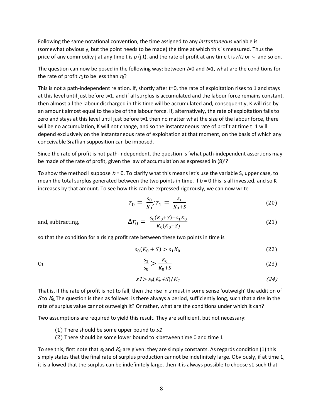Following the same notational convention, the time assigned to any *instantaneous* variable is (somewhat obviously, but the point needs to be made) the time at which this is measured. Thus the price of any commodity j at any time t is p (j,t), and the rate of profit at any time t is r(t) or r<sub>t</sub>, and so on.

The question can now be posed in the following way: between  $t=0$  and  $t=1$ , what are the conditions for the rate of profit  $r_1$  to be less than  $r_0$ ?

This is not a path-independent relation. If, shortly after t=0, the rate of exploitation rises to 1 and stays at this level until just before t=1, and if all surplus is accumulated and the labour force remains constant, then almost all the labour discharged in this time will be accumulated and, consequently, K will rise by an amount almost equal to the size of the labour force. If, alternatively, the rate of exploitation falls to zero and stays at this level until just before t=1 then no matter what the size of the labour force, there will be no accumulation, K will not change, and so the instantaneous rate of profit at time t=1 will depend exclusively on the instantaneous rate of exploitation at that moment, on the basis of which any conceivable Sraffian supposition can be imposed.

Since the rate of profit is not path-independent, the question is 'what path-independent assertions may be made of the rate of profit, given the law of accumulation as expressed in (8)'?

To show the method I suppose  $b = 0$ . To clarify what this means let's use the variable S, upper case, to mean the total surplus generated between the two points in time. If  $b = 0$  this is all invested, and so K increases by that amount. To see how this can be expressed rigorously, we can now write

$$
r_0 = \frac{s_0}{K_0}; r_1 = \frac{s_1}{K_0 + S} \tag{20}
$$

and, subtracting,

$$
\Delta r_0 = \frac{s_0(K_0 + S) - s_1 K_0}{K_0(K_0 + S)}
$$
(21)

so that the condition for a rising profit rate between these two points in time is

$$
s_0(K_0 + S) > s_1 K_0 \tag{22}
$$

Or

$$
\frac{s_1}{s_0} > \frac{K_0}{K_0 + S} \tag{23}
$$

$$
s1 > s_0(K_0+S)/K_0 \tag{24}
$$

That is, if the rate of profit is not to fall, then the rise in  $s$  must in some sense 'outweigh' the addition of Sto  $K_0$ . The question is then as follows: is there always a period, sufficiently long, such that a rise in the rate of surplus value cannot outweigh it? Or rather, what are the conditions under which it can?

Two assumptions are required to yield this result. They are sufficient, but not necessary:

- (1) There should be some upper bound to  $s1$
- (2) There should be some lower bound to  $s$  between time 0 and time 1

To see this, first note that  $s_0$  and  $K_0$  are given: they are simply constants. As regards condition (1) this simply states that the final rate of surplus production cannot be indefinitely large. Obviously, if at time 1, it is allowed that the surplus can be indefinitely large, then it is always possible to choose s1 such that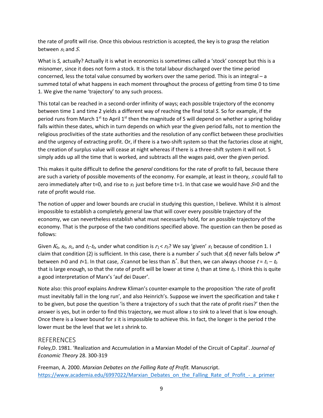the rate of profit will rise. Once this obvious restriction is accepted, the key is to grasp the relation between  $s_1$  and S.

What is *S*, actually? Actually it is what in economics is sometimes called a 'stock' concept but this is a misnomer, since it does not form a stock. It is the total labour discharged over the time period concerned, less the total value consumed by workers over the same period. This is an integral – a summed total of what happens in each moment throughout the process of getting from time 0 to time 1. We give the name 'trajectory' to any such process.

This total can be reached in a second-order infinity of ways; each possible trajectory of the economy between time 1 and time 2 yields a different way of reaching the final total *S.* So for example, if the period runs from March  $1^{st}$  to April  $1^{st}$  then the magnitude of S will depend on whether a spring holiday falls within these dates, which in turn depends on which year the given period falls, not to mention the religious proclivities of the state authorities and the resolution of any conflict between these proclivities and the urgency of extracting profit. Or, if there is a two-shift system so that the factories close at night, the creation of surplus value will cease at night whereas if there is a three-shift system it will not. S simply adds up all the time that is worked, and subtracts all the wages paid, over the given period.

This makes it quite difficult to define the *general* conditions for the rate of profit to fall, because there are such a variety of possible movements of the economy. For example, at least in theory, s could fall to zero immediately after t=0, and rise to  $s_1$  just before time t=1. In that case we would have  $S=0$  and the rate of profit would rise.

The notion of upper and lower bounds are crucial in studying this question, I believe. Whilst it is almost impossible to establish a completely general law that will cover every possible trajectory of the economy, we can nevertheless establish what must necessarily hold, for an possible trajectory of the economy. That is the purpose of the two conditions specified above. The question can then be posed as follows:

Given  $K_0$ ,  $s_0$ ,  $s_1$ , and  $t_1$ - $t_0$ , under what condition is  $r_1 < r_0$ ? We say 'given'  $s_1$  because of condition 1. I claim that condition (2) is sufficient. In this case, there is a number  $s^*$  such that  $s(t)$  never falls below  $s^*$ between *t*=0 and *t*=1. In that case, S cannot be less than  $ts^*$ . But then, we can always choose  $t = t_1 - t_0$ that is large enough, so that the rate of profit will be lower at time  $t_1$  than at time  $t_0$ . I think this is quite a good interpretation of Marx's 'auf dei Dauer'.

Note also: this proof explains Andrew Kliman's counter-example to the proposition 'the rate of profit must inevitably fall in the long run', and also Heinrich's. Suppose we invert the specification and take *t*  to be given, but pose the question 'is there a trajectory of *s* such that the rate of profit rises?' then the answer is yes, but in order to find this trajectory, we must allow *s* to sink to a level that is low enough. Once there is a lower bound for *s* it is impossible to achieve this. In fact, the longer is the period *t* the lower must be the level that we let *s* shrink to.

#### **REFERENCES**

Foley,D. 1981. 'Realization and Accumulation in a Marxian Model of the Circuit of Capital'. *Journal of Economic Theory* 28. 300-319

Freeman, A. 2000. *Marxian Debates on the Falling Rate of Profit.* Manuscript. https://www.academia.edu/6997022/Marxian\_Debates\_on\_the\_Falling\_Rate\_of\_Profit\_-\_a\_primer